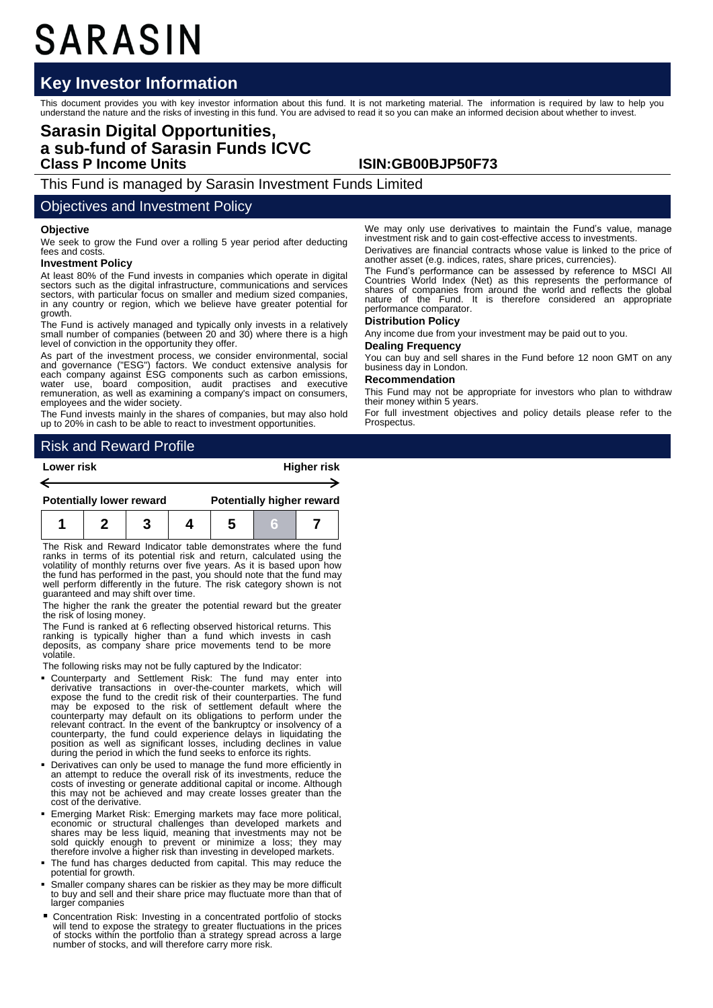# SARASIN

## **Key Investor Information**

This document provides you with key investor information about this fund. It is not marketing material. The information is required by law to help you<br>understand the nature and the risks of investing in this fund. You are

## **Sarasin Digital Opportunities, a sub-fund of Sarasin Funds ICVC Class P Income Units ISIN:GB00BJP50F73**

This Fund is managed by Sarasin Investment Funds Limited

### Objectives and Investment Policy

#### **Objective**

We seek to grow the Fund over a rolling 5 year period after deducting fees and costs

#### **Investment Policy**

At least 80% of the Fund invests in companies which operate in digital sectors such as the digital infrastructure, communications and services sectors, with particular focus on smaller and medium sized companies, in any country or region, which we believe have greater potential for growth.

The Fund is actively managed and typically only invests in a relatively small number of companies (between 20 and 30) where there is a high level of conviction in the opportunity they offer.

As part of the investment process, we consider environmental, social<br>and governance ("ESG") factors. We conduct extensive analysis for<br>each company against ESG components such as carbon emissions,<br>water use, board composit employees and the wider society.

The Fund invests mainly in the shares of companies, but may also hold up to 20% in cash to be able to react to investment opportunities.

We may only use derivatives to maintain the Fund's value, manage investment risk and to gain cost-effective access to investments.

Derivatives are financial contracts whose value is linked to the price of another asset (e.g. indices, rates, share prices, currencies).

The Fund's performance can be assessed by reference to MSCI All Countries World Index (Net) as this represents the performance of shares of companies from around the world and reflects the global nature of the Fund. It is therefore considered an appropriate performance comparator.

#### **Distribution Policy**

Any income due from your investment may be paid out to you.

#### **Dealing Frequency**

You can buy and sell shares in the Fund before 12 noon GMT on any business day in London.

#### **Recommendation**

This Fund may not be appropriate for investors who plan to withdraw their money within 5 years.

For full investment objectives and policy details please refer to the Prospectus.

## Risk and Reward Profile

| Lower risk |                                 |  |  | <b>Higher risk</b>               |  |  |  |
|------------|---------------------------------|--|--|----------------------------------|--|--|--|
|            |                                 |  |  |                                  |  |  |  |
|            | <b>Potentially lower reward</b> |  |  | <b>Potentially higher reward</b> |  |  |  |
|            |                                 |  |  |                                  |  |  |  |

The Risk and Reward Indicator table demonstrates where the fund ranks in terms of its potential risk and return, calculated using the volatility of monthly returns over five years. As it is based upon how the fund has performed in the past, you should note that the fund may well perform differently in the future. The risk category shown is not guaranteed and may shift over time.

The higher the rank the greater the potential reward but the greater the risk of losing money.

The Fund is ranked at 6 reflecting observed historical returns. This ranking is typically higher than a fund which invests in cash deposits, as company share price movements tend to be more volatile.

The following risks may not be fully captured by the Indicator:

- Counterparty and Settlement Risk: The fund may enter into derivative transactions in over-the-counter markets, which will expose the fund to the credit risk of their counterparties. The fund may be exposed to the risk of settlement default where the counterparty may default on its obligations to perform under the relevant contract. In the event of the bankruptcy or insolvency of a counterparty, the fund could experience delays in liquidating the position as well as significant losses, including declines in value during the period in which the fund seeks to enforce its rights.
- Derivatives can only be used to manage the fund more efficiently in an attempt to reduce the overall risk of its investments, reduce the costs of investing or generate additional capital or income. Although this may not be achieved and may create losses greater than the cost of the derivative.
- Emerging Market Risk: Emerging markets may face more political, economic or structural challenges than developed markets and shares may be less liquid, meaning that investments may not be sold quickly enough to prevent or minimize a loss; they may therefore involve a higher risk than investing in developed markets.
- The fund has charges deducted from capital. This may reduce the potential for growth.
- Smaller company shares can be riskier as they may be more difficult to buy and sell and their share price may fluctuate more than that of larger companies
- Concentration Risk: Investing in a concentrated portfolio of stocks will tend to expose the strategy to greater fluctuations in the prices of stocks within the portfolio than a strategy spread across a large number of stocks, and will therefore carry more risk.